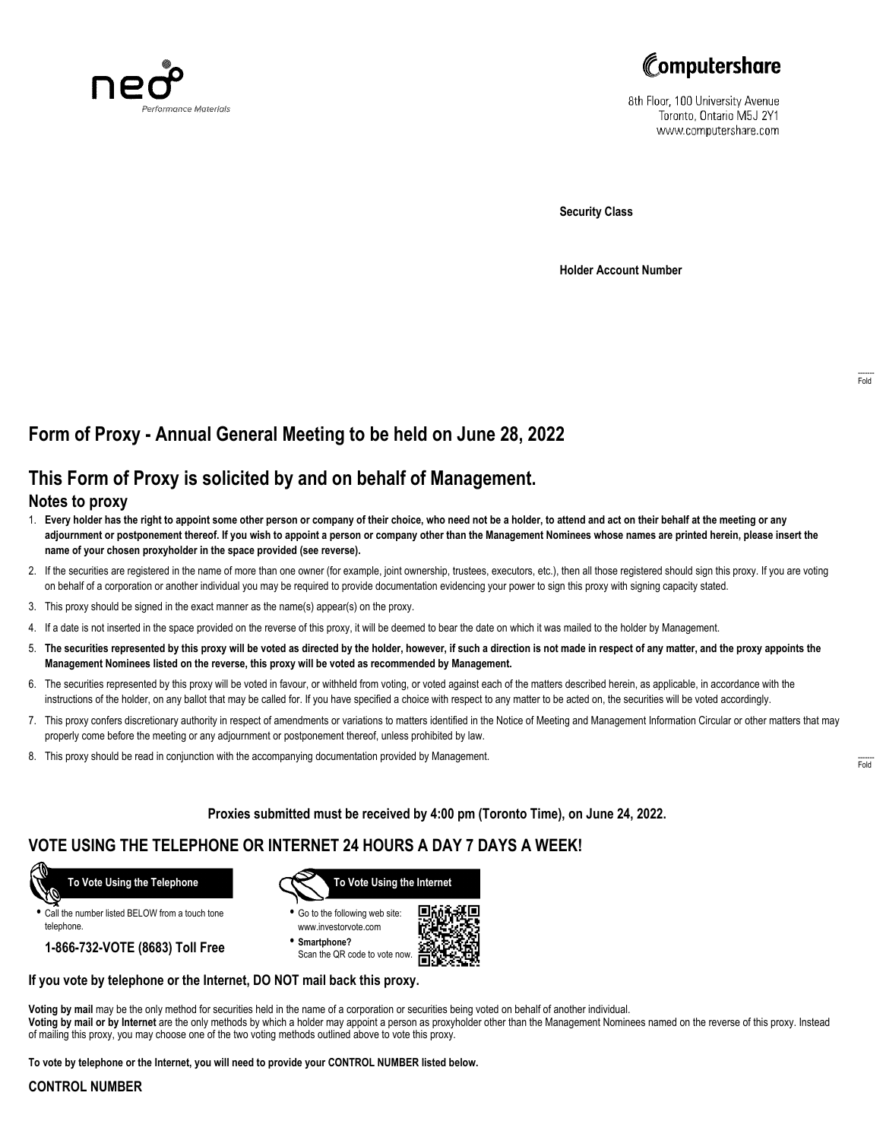



8th Floor, 100 University Avenue Toronto, Ontario M5J 2Y1 www.computershare.com

**Security Class**

**Holder Account Number**

## **Form of Proxy - Annual General Meeting to be held on June 28, 2022**

# **This Form of Proxy is solicited by and on behalf of Management.**

### **Notes to proxy**

- 1. **Every holder has the right to appoint some other person or company of their choice, who need not be a holder, to attend and act on their behalf at the meeting or any adjournment or postponement thereof. If you wish to appoint a person or company other than the Management Nominees whose names are printed herein, please insert the name of your chosen proxyholder in the space provided (see reverse).**
- 2. If the securities are registered in the name of more than one owner (for example, joint ownership, trustees, executors, etc.), then all those registered should sign this proxy. If you are voting on behalf of a corporation or another individual you may be required to provide documentation evidencing your power to sign this proxy with signing capacity stated.
- 3. This proxy should be signed in the exact manner as the name(s) appear(s) on the proxy.
- 4. If a date is not inserted in the space provided on the reverse of this proxy, it will be deemed to bear the date on which it was mailed to the holder by Management.
- 5. **The securities represented by this proxy will be voted as directed by the holder, however, if such a direction is not made in respect of any matter, and the proxy appoints the Management Nominees listed on the reverse, this proxy will be voted as recommended by Management.**
- 6. The securities represented by this proxy will be voted in favour, or withheld from voting, or voted against each of the matters described herein, as applicable, in accordance with the instructions of the holder, on any ballot that may be called for. If you have specified a choice with respect to any matter to be acted on, the securities will be voted accordingly.
- 7. This proxy confers discretionary authority in respect of amendments or variations to matters identified in the Notice of Meeting and Management Information Circular or other matters that may properly come before the meeting or any adjournment or postponement thereof, unless prohibited by law.
- 8. This proxy should be read in conjunction with the accompanying documentation provided by Management.

**Proxies submitted must be received by 4:00 pm (Toronto Time), on June 24, 2022.**

## **VOTE USING THE TELEPHONE OR INTERNET 24 HOURS A DAY 7 DAYS A WEEK!**



**•** Call the number listed BELOW from a touch tone telephone.

**1-866-732-VOTE (8683) Toll Free**



**•** Go to the following web site: www.investorvote.com

**• Smartphone?** Scan the QR code to vote now.



#### **If you vote by telephone or the Internet, DO NOT mail back this proxy.**

**Voting by mail** may be the only method for securities held in the name of a corporation or securities being voted on behalf of another individual. **Voting by mail or by Internet** are the only methods by which a holder may appoint a person as proxyholder other than the Management Nominees named on the reverse of this proxy. Instead of mailing this proxy, you may choose one of the two voting methods outlined above to vote this proxy.

**To vote by telephone or the Internet, you will need to provide your CONTROL NUMBER listed below.**

#### **CONTROL NUMBER**